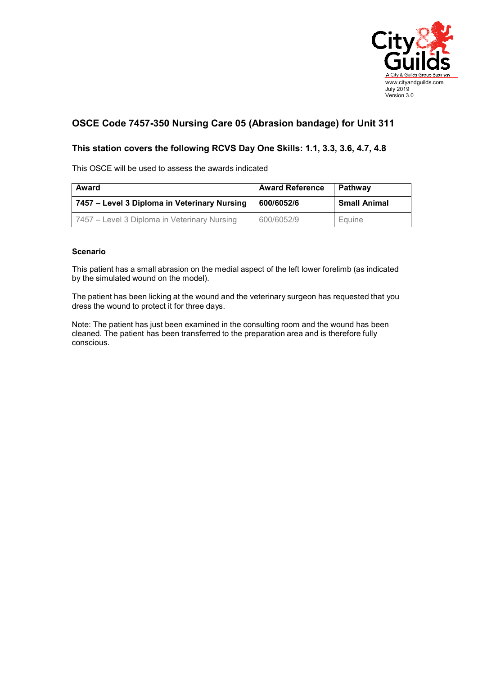

## **OSCE Code 7457-350 Nursing Care 05 (Abrasion bandage) for Unit 311**

## **This station covers the following RCVS Day One Skills: 1.1, 3.3, 3.6, 4.7, 4.8**

This OSCE will be used to assess the awards indicated

| Award                                        | <b>Award Reference</b> | Pathwav             |
|----------------------------------------------|------------------------|---------------------|
| 7457 – Level 3 Diploma in Veterinary Nursing | 600/6052/6             | <b>Small Animal</b> |
| 7457 – Level 3 Diploma in Veterinary Nursing | 600/6052/9             | Equine              |

## **Scenario**

This patient has a small abrasion on the medial aspect of the left lower forelimb (as indicated by the simulated wound on the model).

The patient has been licking at the wound and the veterinary surgeon has requested that you dress the wound to protect it for three days.

Note: The patient has just been examined in the consulting room and the wound has been cleaned. The patient has been transferred to the preparation area and is therefore fully conscious.